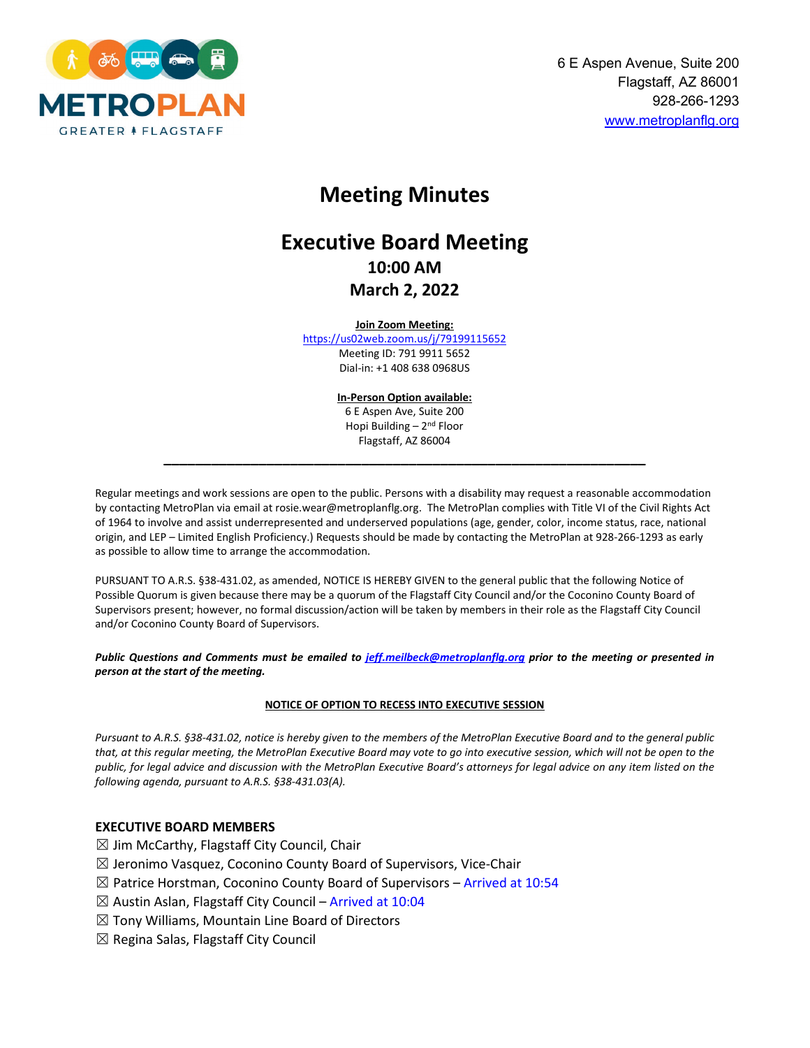

# **Meeting Minutes**

# **Executive Board Meeting 10:00 AM March 2, 2022**

#### **Join Zoom Meeting:**

<https://us02web.zoom.us/j/79199115652> Meeting ID: 791 9911 5652 Dial-in: +1 408 638 0968US

> **In-Person Option available:** 6 E Aspen Ave, Suite 200 Hopi Building – 2nd Floor Flagstaff, AZ 86004

**\_\_\_\_\_\_\_\_\_\_\_\_\_\_\_\_\_\_\_\_\_\_\_\_\_\_\_\_\_\_\_\_\_\_\_\_\_\_\_\_\_\_\_\_\_\_\_\_\_\_\_\_\_\_\_\_\_\_\_\_\_**

Regular meetings and work sessions are open to the public. Persons with a disability may request a reasonable accommodation by contacting MetroPlan via email at rosie.wear@metroplanflg.org. The MetroPlan complies with Title VI of the Civil Rights Act of 1964 to involve and assist underrepresented and underserved populations (age, gender, color, income status, race, national origin, and LEP – Limited English Proficiency.) Requests should be made by contacting the MetroPlan at 928-266-1293 as early as possible to allow time to arrange the accommodation.

PURSUANT TO A.R.S. §38-431.02, as amended, NOTICE IS HEREBY GIVEN to the general public that the following Notice of Possible Quorum is given because there may be a quorum of the Flagstaff City Council and/or the Coconino County Board of Supervisors present; however, no formal discussion/action will be taken by members in their role as the Flagstaff City Council and/or Coconino County Board of Supervisors.

*Public Questions and Comments must be emailed to [jeff.meilbeck@metroplanflg.org](mailto:jeff.meilbeck@metroplanflg.org) prior to the meeting or presented in person at the start of the meeting.* 

#### **NOTICE OF OPTION TO RECESS INTO EXECUTIVE SESSION**

*Pursuant to A.R.S. §38-431.02, notice is hereby given to the members of the MetroPlan Executive Board and to the general public that, at this regular meeting, the MetroPlan Executive Board may vote to go into executive session, which will not be open to the public, for legal advice and discussion with the MetroPlan Executive Board's attorneys for legal advice on any item listed on the following agenda, pursuant to A.R.S. §38-431.03(A).*

#### **EXECUTIVE BOARD MEMBERS**

- $\boxtimes$  Jim McCarthy, Flagstaff City Council, Chair
- $\boxtimes$  Jeronimo Vasquez, Coconino County Board of Supervisors, Vice-Chair
- $\boxtimes$  Patrice Horstman, Coconino County Board of Supervisors Arrived at 10:54
- $\boxtimes$  Austin Aslan, Flagstaff City Council Arrived at 10:04
- $\boxtimes$  Tony Williams, Mountain Line Board of Directors
- $\boxtimes$  Regina Salas, Flagstaff City Council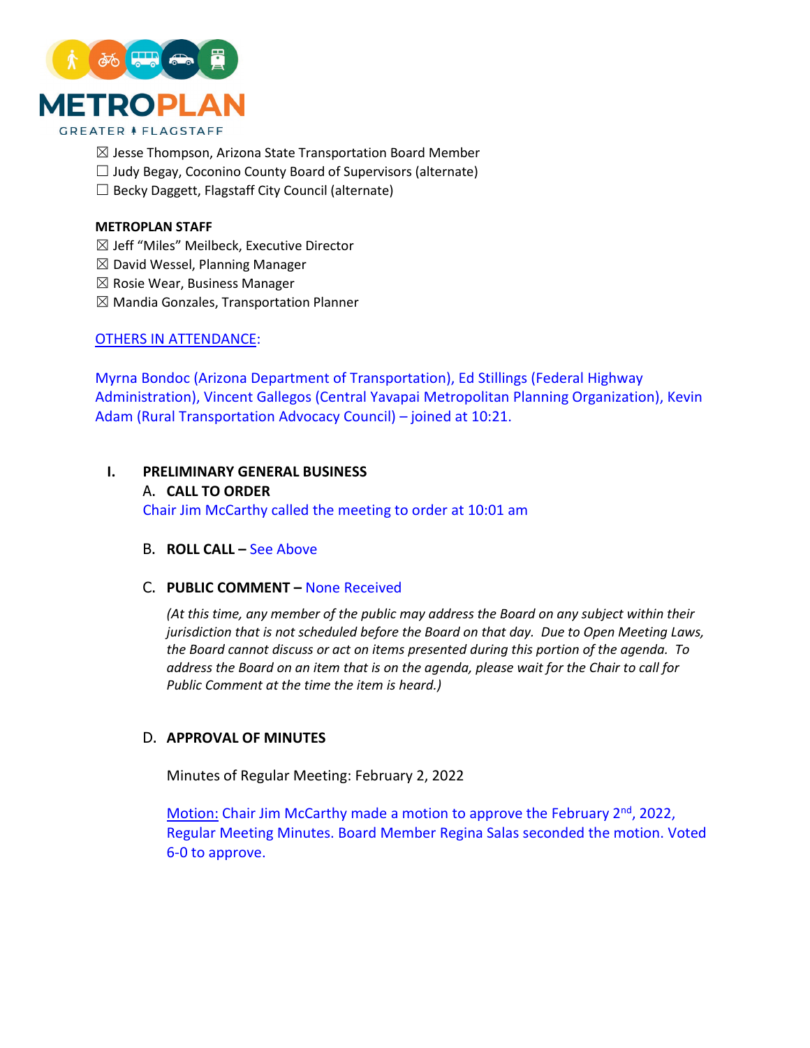

- $\boxtimes$  Jesse Thompson, Arizona State Transportation Board Member
- $\Box$  Judy Begay, Coconino County Board of Supervisors (alternate)
- $\Box$  Becky Daggett, Flagstaff City Council (alternate)

#### **METROPLAN STAFF**

- ☒ Jeff "Miles" Meilbeck, Executive Director
- $\boxtimes$  David Wessel, Planning Manager
- $\boxtimes$  Rosie Wear, Business Manager
- $\boxtimes$  Mandia Gonzales, Transportation Planner

## OTHERS IN ATTENDANCE:

Myrna Bondoc (Arizona Department of Transportation), Ed Stillings (Federal Highway Administration), Vincent Gallegos (Central Yavapai Metropolitan Planning Organization), Kevin Adam (Rural Transportation Advocacy Council) – joined at 10:21.

## **I. PRELIMINARY GENERAL BUSINESS**

A. **CALL TO ORDER** Chair Jim McCarthy called the meeting to order at 10:01 am

B. **ROLL CALL –** See Above

#### C. **PUBLIC COMMENT –** None Received

*(At this time, any member of the public may address the Board on any subject within their jurisdiction that is not scheduled before the Board on that day. Due to Open Meeting Laws, the Board cannot discuss or act on items presented during this portion of the agenda. To address the Board on an item that is on the agenda, please wait for the Chair to call for Public Comment at the time the item is heard.)*

## D. **APPROVAL OF MINUTES**

Minutes of Regular Meeting: February 2, 2022

Motion: Chair Jim McCarthy made a motion to approve the February  $2<sup>nd</sup>$ , 2022, Regular Meeting Minutes. Board Member Regina Salas seconded the motion. Voted 6-0 to approve.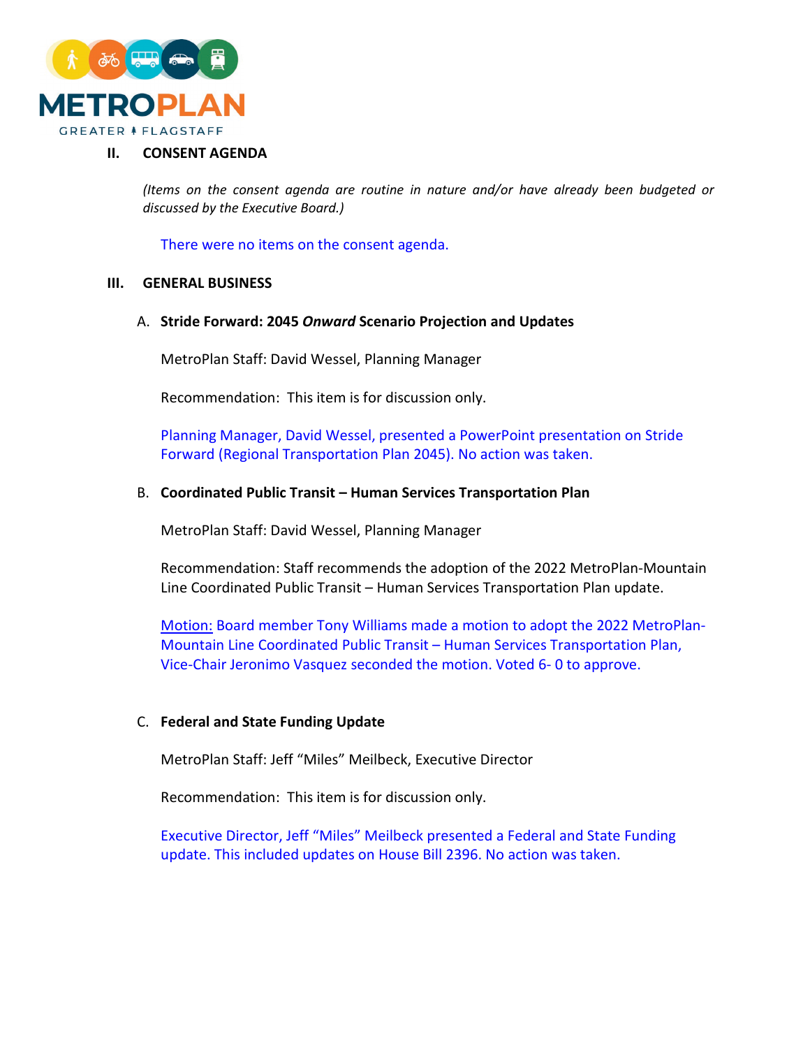

# **II. CONSENT AGENDA**

*(Items on the consent agenda are routine in nature and/or have already been budgeted or discussed by the Executive Board.)*

There were no items on the consent agenda.

#### **III. GENERAL BUSINESS**

## A. **Stride Forward: 2045** *Onward* **Scenario Projection and Updates**

MetroPlan Staff: David Wessel, Planning Manager

Recommendation: This item is for discussion only.

Planning Manager, David Wessel, presented a PowerPoint presentation on Stride Forward (Regional Transportation Plan 2045). No action was taken.

#### B. **Coordinated Public Transit – Human Services Transportation Plan**

MetroPlan Staff: David Wessel, Planning Manager

Recommendation: Staff recommends the adoption of the 2022 MetroPlan-Mountain Line Coordinated Public Transit – Human Services Transportation Plan update.

Motion: Board member Tony Williams made a motion to adopt the 2022 MetroPlan-Mountain Line Coordinated Public Transit – Human Services Transportation Plan, Vice-Chair Jeronimo Vasquez seconded the motion. Voted 6- 0 to approve.

# C. **Federal and State Funding Update**

MetroPlan Staff: Jeff "Miles" Meilbeck, Executive Director

Recommendation: This item is for discussion only.

Executive Director, Jeff "Miles" Meilbeck presented a Federal and State Funding update. This included updates on House Bill 2396. No action was taken.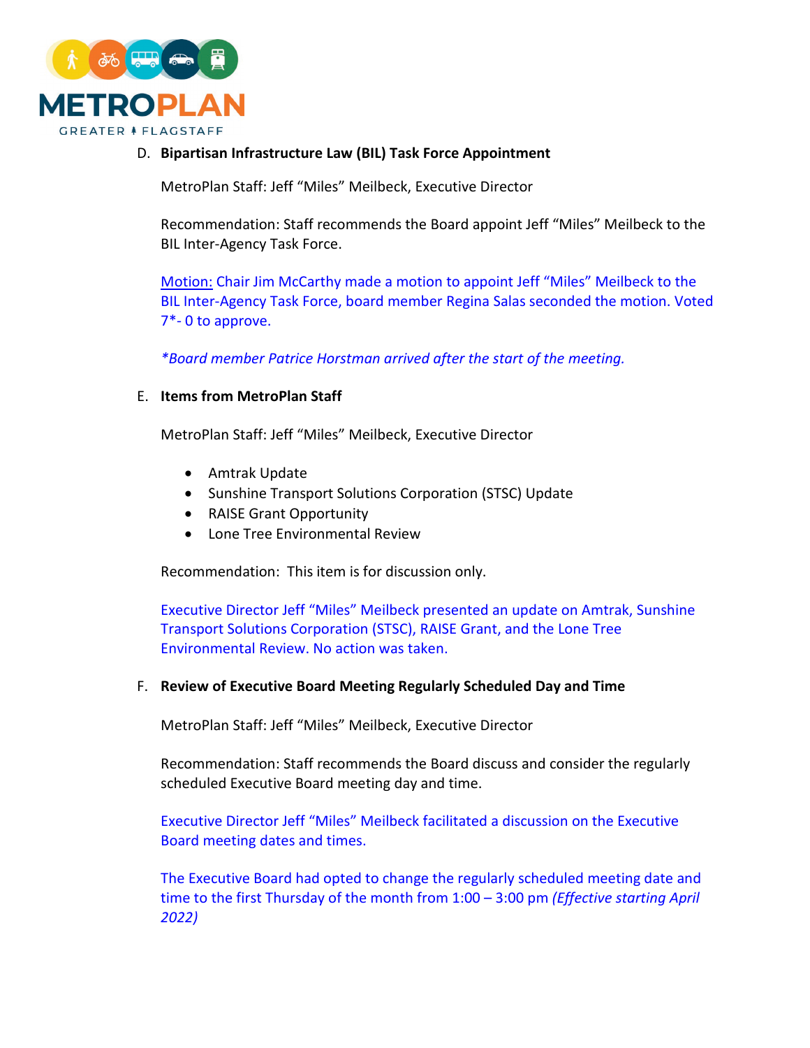

D. **Bipartisan Infrastructure Law (BIL) Task Force Appointment** 

MetroPlan Staff: Jeff "Miles" Meilbeck, Executive Director

Recommendation: Staff recommends the Board appoint Jeff "Miles" Meilbeck to the BIL Inter-Agency Task Force.

Motion: Chair Jim McCarthy made a motion to appoint Jeff "Miles" Meilbeck to the BIL Inter-Agency Task Force, board member Regina Salas seconded the motion. Voted 7\*- 0 to approve.

*\*Board member Patrice Horstman arrived after the start of the meeting.* 

# E. **Items from MetroPlan Staff**

MetroPlan Staff: Jeff "Miles" Meilbeck, Executive Director

- Amtrak Update
- Sunshine Transport Solutions Corporation (STSC) Update
- RAISE Grant Opportunity
- Lone Tree Environmental Review

Recommendation: This item is for discussion only.

Executive Director Jeff "Miles" Meilbeck presented an update on Amtrak, Sunshine Transport Solutions Corporation (STSC), RAISE Grant, and the Lone Tree Environmental Review. No action was taken.

## F. **Review of Executive Board Meeting Regularly Scheduled Day and Time**

MetroPlan Staff: Jeff "Miles" Meilbeck, Executive Director

Recommendation: Staff recommends the Board discuss and consider the regularly scheduled Executive Board meeting day and time.

Executive Director Jeff "Miles" Meilbeck facilitated a discussion on the Executive Board meeting dates and times.

The Executive Board had opted to change the regularly scheduled meeting date and time to the first Thursday of the month from 1:00 – 3:00 pm *(Effective starting April 2022)*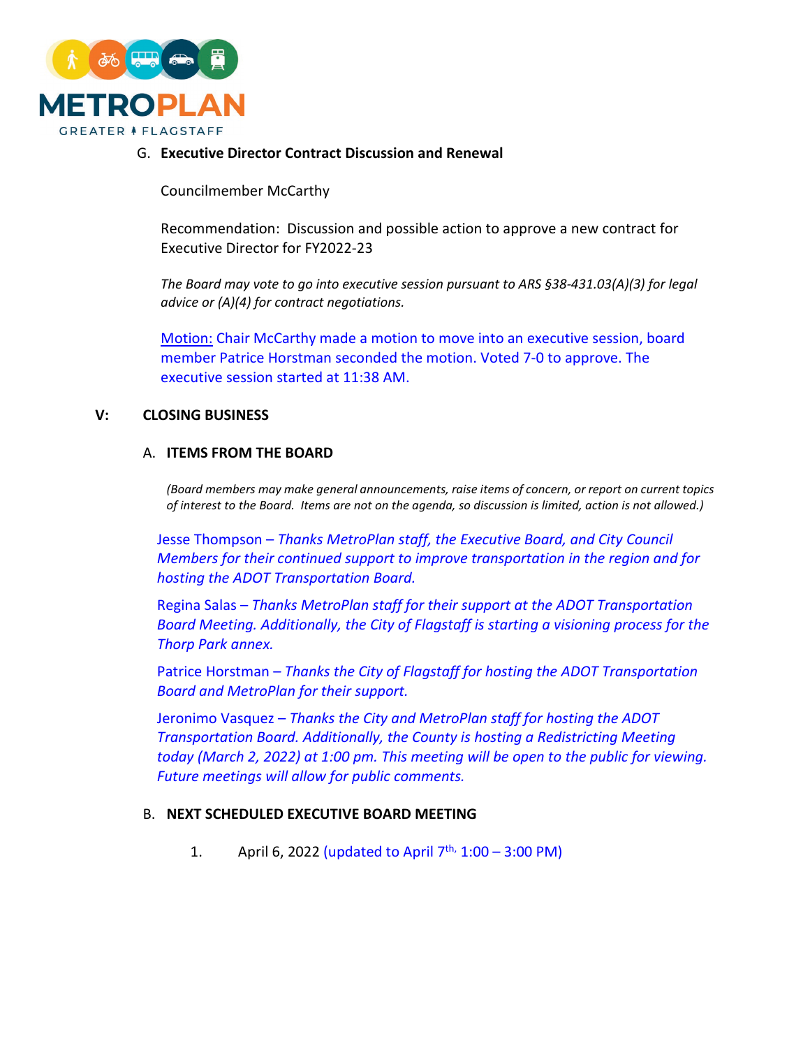

# G. **Executive Director Contract Discussion and Renewal**

Councilmember McCarthy

Recommendation: Discussion and possible action to approve a new contract for Executive Director for FY2022-23

*The Board may vote to go into executive session pursuant to ARS §38-431.03(A)(3) for legal advice or (A)(4) for contract negotiations.*

Motion: Chair McCarthy made a motion to move into an executive session, board member Patrice Horstman seconded the motion. Voted 7-0 to approve. The executive session started at 11:38 AM.

## **V: CLOSING BUSINESS**

#### A. **ITEMS FROM THE BOARD**

*(Board members may make general announcements, raise items of concern, or report on current topics of interest to the Board. Items are not on the agenda, so discussion is limited, action is not allowed.)*

Jesse Thompson – *Thanks MetroPlan staff, the Executive Board, and City Council Members for their continued support to improve transportation in the region and for hosting the ADOT Transportation Board.*

Regina Salas – *Thanks MetroPlan staff for their support at the ADOT Transportation Board Meeting. Additionally, the City of Flagstaff is starting a visioning process for the Thorp Park annex.* 

Patrice Horstman – *Thanks the City of Flagstaff for hosting the ADOT Transportation Board and MetroPlan for their support.*

Jeronimo Vasquez – *Thanks the City and MetroPlan staff for hosting the ADOT Transportation Board. Additionally, the County is hosting a Redistricting Meeting today (March 2, 2022) at 1:00 pm. This meeting will be open to the public for viewing. Future meetings will allow for public comments.*

## B. **NEXT SCHEDULED EXECUTIVE BOARD MEETING**

1. April 6, 2022 (updated to April  $7^{th}$ , 1:00 – 3:00 PM)